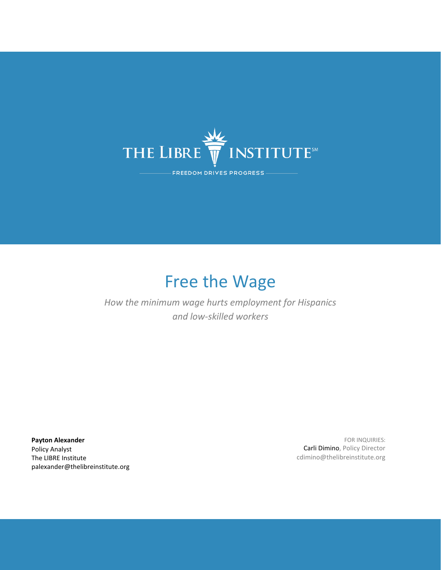

# Free the Wage

## *How the minimum wage hurts employment for Hispanics and low-skilled workers*

**Payton Alexander** Policy Analyst The LIBRE Institute palexander@thelibreinstitute.org

FOR INQUIRIES: Carli Dimino, Policy Director cdimino@thelibreinstitute.org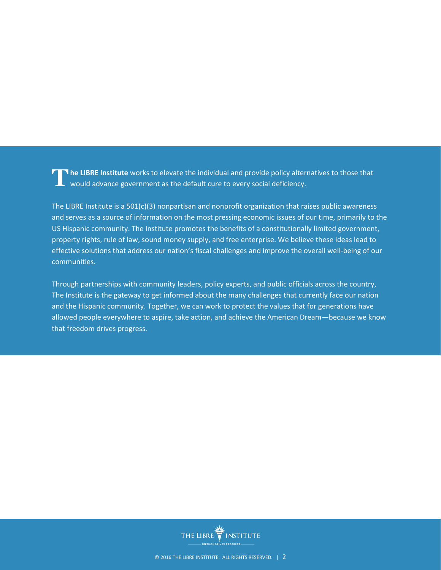The LIBRE Institute works to elevate the individual and provide policy alternatives to those that would advance government as the default cure to every social deficiency. would advance government as the default cure to every social deficiency.

The LIBRE Institute is a  $501(c)(3)$  nonpartisan and nonprofit organization that raises public awareness and serves as a source of information on the most pressing economic issues of our time, primarily to the US Hispanic community. The Institute promotes the benefits of a constitutionally limited government, property rights, rule of law, sound money supply, and free enterprise. We believe these ideas lead to effective solutions that address our nation's fiscal challenges and improve the overall well-being of our communities.

Through partnerships with community leaders, policy experts, and public officials across the country, The Institute is the gateway to get informed about the many challenges that currently face our nation and the Hispanic community. Together, we can work to protect the values that for generations have allowed people everywhere to aspire, take action, and achieve the American Dream—because we know that freedom drives progress.

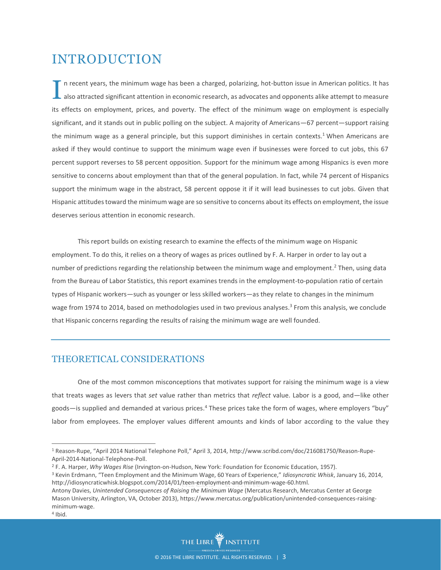## INTRODUCTION

n recent years, the minimum wage has been a charged, polarizing, hot-button issue in American politics. It has also attracted significant attention in economic research, as advocates and opponents alike attempt to measure its effects on employment, prices, and poverty. The effect of the minimum wage on employment is especially significant, and it stands out in public polling on the subject. A majority of Americans—67 percent—support raising the minimum wage as a general principle, but this support diminishes in certain contexts.<sup>1</sup> When Americans are asked if they would continue to support the minimum wage even if businesses were forced to cut jobs, this 67 percent support reverses to 58 percent opposition. Support for the minimum wage among Hispanics is even more sensitive to concerns about employment than that of the general population. In fact, while 74 percent of Hispanics support the minimum wage in the abstract, 58 percent oppose it if it will lead businesses to cut jobs. Given that Hispanic attitudes toward the minimum wage are so sensitive to concerns about its effects on employment, the issue deserves serious attention in economic research. I

This report builds on existing research to examine the effects of the minimum wage on Hispanic employment. To do this, it relies on a theory of wages as prices outlined by F. A. Harper in order to lay out a number of predictions regarding the relationship between the minimum wage and employment. <sup>2</sup> Then, using data from the Bureau of Labor Statistics, this report examines trends in the employment-to-population ratio of certain types of Hispanic workers—such as younger or less skilled workers—as they relate to changes in the minimum wage from 1974 to 2014, based on methodologies used in two previous analyses.<sup>3</sup> From this analysis, we conclude that Hispanic concerns regarding the results of raising the minimum wage are well founded.

#### THEORETICAL CONSIDERATIONS

One of the most common misconceptions that motivates support for raising the minimum wage is a view that treats wages as levers that *set* value rather than metrics that *reflect* value. Labor is a good, and—like other goods—is supplied and demanded at various prices. <sup>4</sup> These prices take the form of wages, where employers "buy" labor from employees. The employer values different amounts and kinds of labor according to the value they

<sup>1</sup> Reason-Rupe, "April 2014 National Telephone Poll," April 3, 2014, http://www.scribd.com/doc/216081750/Reason-Rupe-April-2014-National-Telephone-Poll.

<sup>2</sup> F. A. Harper, *Why Wages Rise* (Irvington-on-Hudson, New York: Foundation for Economic Education, 1957).

<sup>3</sup> Kevin Erdmann, "Teen Employment and the Minimum Wage, 60 Years of Experience," *Idiosyncratic Whisk*, January 16, 2014, http://idiosyncraticwhisk.blogspot.com/2014/01/teen-employment-and-minimum-wage-60.html.

thelibreinstitute.org | 3 Antony Davies, *Unintended Consequences of Raising the Minimum Wage* (Mercatus Research, Mercatus Center at George Mason University, Arlington, VA, October 2013), https://www.mercatus.org/publication/unintended-consequences-raisingminimum-wage.

<sup>4</sup> Ibid.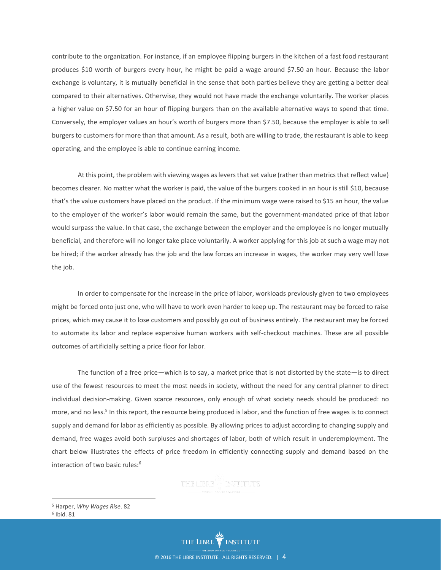contribute to the organization. For instance, if an employee flipping burgers in the kitchen of a fast food restaurant produces \$10 worth of burgers every hour, he might be paid a wage around \$7.50 an hour. Because the labor exchange is voluntary, it is mutually beneficial in the sense that both parties believe they are getting a better deal compared to their alternatives. Otherwise, they would not have made the exchange voluntarily. The worker places a higher value on \$7.50 for an hour of flipping burgers than on the available alternative ways to spend that time. Conversely, the employer values an hour's worth of burgers more than \$7.50, because the employer is able to sell burgers to customers for more than that amount. As a result, both are willing to trade, the restaurant is able to keep operating, and the employee is able to continue earning income.

At this point, the problem with viewing wages as levers that set value (rather than metrics that reflect value) becomes clearer. No matter what the worker is paid, the value of the burgers cooked in an hour is still \$10, because that's the value customers have placed on the product. If the minimum wage were raised to \$15 an hour, the value to the employer of the worker's labor would remain the same, but the government-mandated price of that labor would surpass the value. In that case, the exchange between the employer and the employee is no longer mutually beneficial, and therefore will no longer take place voluntarily. A worker applying for this job at such a wage may not be hired; if the worker already has the job and the law forces an increase in wages, the worker may very well lose the job.

In order to compensate for the increase in the price of labor, workloads previously given to two employees might be forced onto just one, who will have to work even harder to keep up. The restaurant may be forced to raise prices, which may cause it to lose customers and possibly go out of business entirely. The restaurant may be forced to automate its labor and replace expensive human workers with self-checkout machines. These are all possible outcomes of artificially setting a price floor for labor.

The function of a free price—which is to say, a market price that is not distorted by the state—is to direct use of the fewest resources to meet the most needs in society, without the need for any central planner to direct individual decision-making. Given scarce resources, only enough of what society needs should be produced: no more, and no less.<sup>5</sup> In this report, the resource being produced is labor, and the function of free wages is to connect supply and demand for labor as efficiently as possible. By allowing prices to adjust according to changing supply and demand, free wages avoid both surpluses and shortages of labor, both of which result in underemployment. The chart below illustrates the effects of price freedom in efficiently connecting supply and demand based on the interaction of two basic rules: 6

<sup>5</sup> Harper, *Why Wages Rise*. 82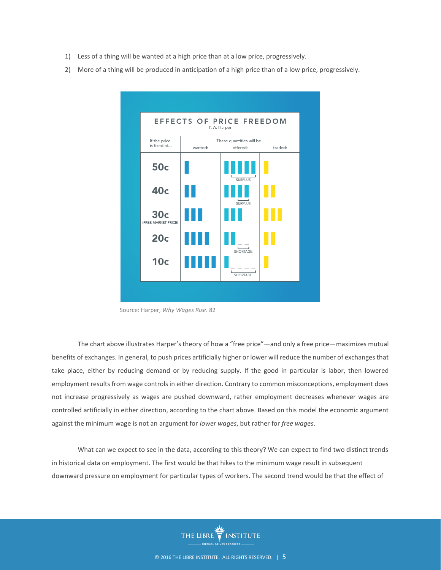- 1) Less of a thing will be wanted at a high price than at a low price, progressively.
- 2) More of a thing will be produced in anticipation of a high price than of a low price, progressively.



Source: Harper, *Why Wages Rise*. 82

The chart above illustrates Harper's theory of how a "free price"—and only a free price—maximizes mutual benefits of exchanges. In general, to push prices artificially higher or lower will reduce the number of exchanges that take place, either by reducing demand or by reducing supply. If the good in particular is labor, then lowered employment results from wage controls in either direction. Contrary to common misconceptions, employment does not increase progressively as wages are pushed downward, rather employment decreases whenever wages are controlled artificially in either direction, according to the chart above. Based on this model the economic argument against the minimum wage is not an argument for *lower wages*, but rather for *free wages*.

What can we expect to see in the data, according to this theory? We can expect to find two distinct trends in historical data on employment. The first would be that hikes to the minimum wage result in subsequent downward pressure on employment for particular types of workers. The second trend would be that the effect of

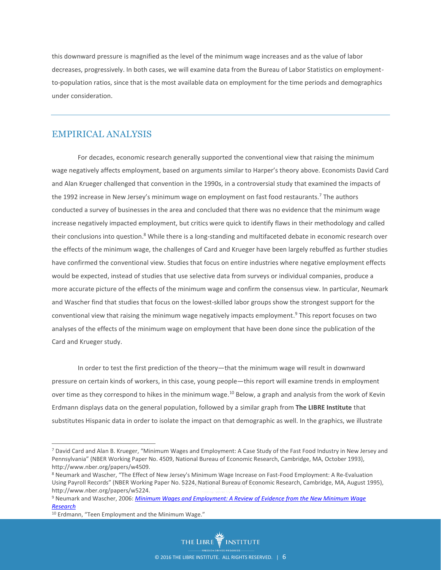this downward pressure is magnified as the level of the minimum wage increases and as the value of labor decreases, progressively. In both cases, we will examine data from the Bureau of Labor Statistics on employmentto-population ratios, since that is the most available data on employment for the time periods and demographics under consideration.

#### EMPIRICAL ANALYSIS

For decades, economic research generally supported the conventional view that raising the minimum wage negatively affects employment, based on arguments similar to Harper's theory above. Economists David Card and Alan Krueger challenged that convention in the 1990s, in a controversial study that examined the impacts of the 1992 increase in New Jersey's minimum wage on employment on fast food restaurants.<sup>7</sup> The authors conducted a survey of businesses in the area and concluded that there was no evidence that the minimum wage increase negatively impacted employment, but critics were quick to identify flaws in their methodology and called their conclusions into question.<sup>8</sup> While there is a long-standing and multifaceted debate in economic research over the effects of the minimum wage, the challenges of Card and Krueger have been largely rebuffed as further studies have confirmed the conventional view. Studies that focus on entire industries where negative employment effects would be expected, instead of studies that use selective data from surveys or individual companies, produce a more accurate picture of the effects of the minimum wage and confirm the consensus view. In particular, Neumark and Wascher find that studies that focus on the lowest-skilled labor groups show the strongest support for the conventional view that raising the minimum wage negatively impacts employment. <sup>9</sup> This report focuses on two analyses of the effects of the minimum wage on employment that have been done since the publication of the Card and Krueger study.

In order to test the first prediction of the theory—that the minimum wage will result in downward pressure on certain kinds of workers, in this case, young people—this report will examine trends in employment over time as they correspond to hikes in the minimum wage.<sup>10</sup> Below, a graph and analysis from the work of Kevin Erdmann displays data on the general population, followed by a similar graph from **The LIBRE Institute** that substitutes Hispanic data in order to isolate the impact on that demographic as well. In the graphics, we illustrate

<sup>7</sup> David Card and Alan B. Krueger, "Minimum Wages and Employment: A Case Study of the Fast Food Industry in New Jersey and Pennsylvania" (NBER Working Paper No. 4509, National Bureau of Economic Research, Cambridge, MA, October 1993), http://www.nber.org/papers/w4509.

<sup>8</sup> Neumark and Wascher, "The Effect of New Jersey's Minimum Wage Increase on Fast-Food Employment: A Re-Evaluation Using Payroll Records" (NBER Working Paper No. 5224, National Bureau of Economic Research, Cambridge, MA, August 1995), http://www.nber.org/papers/w5224.

nttp://www.nber.org/papers/w5224.<br><sup>9</sup> Neumark and Wascher, 2006: <u>Minimum Wages and Employment: A Review of Evidence from the New Minimum Wage</u> *[Research](http://www.nber.org/papers/w12663)*

<sup>10</sup> Erdmann, "Teen Employment and the Minimum Wage."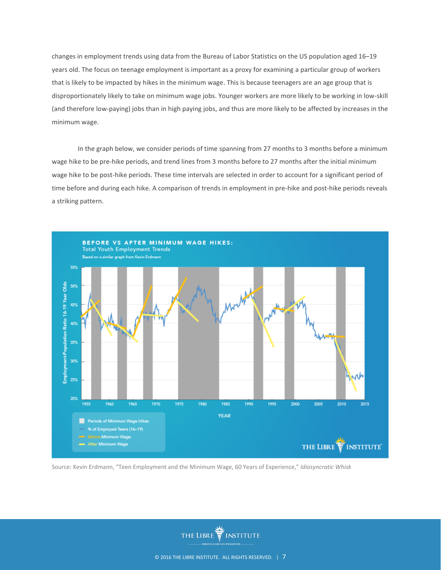changes in employment trends using data from the Bureau of Labor Statistics on the US population aged 16–19 years old. The focus on teenage employment is important as a proxy for examining a particular group of workers that is likely to be impacted by hikes in the minimum wage. This is because teenagers are an age group that is disproportionately likely to take on minimum wage jobs. Younger workers are more likely to be working in low-skill (and therefore low-paying) jobs than in high paying jobs, and thus are more likely to be affected by increases in the minimum wage.

In the graph below, we consider periods of time spanning from 27 months to 3 months before a minimum wage hike to be pre-hike periods, and trend lines from 3 months before to 27 months after the initial minimum wage hike to be post-hike periods. These time intervals are selected in order to account for a significant period of time before and during each hike. A comparison of trends in employment in pre-hike and post-hike periods reveals a striking pattern.



Source: Kevin Erdmann, "Teen Employment and the Minimum Wage, 60 Years of Experience," *Idiosyncratic Whisk*

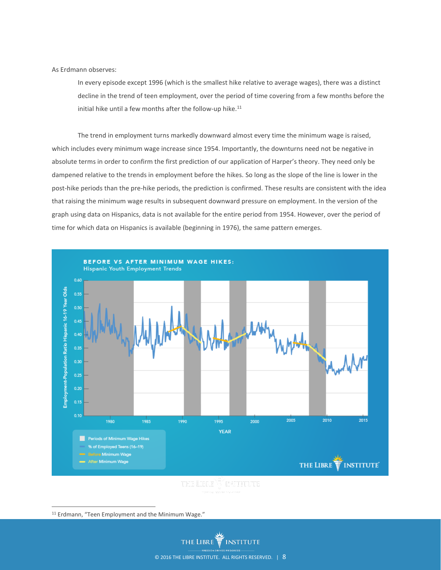#### As Erdmann observes:

In every episode except 1996 (which is the smallest hike relative to average wages), there was a distinct decline in the trend of teen employment, over the period of time covering from a few months before the initial hike until a few months after the follow-up hike. $11$ 

The trend in employment turns markedly downward almost every time the minimum wage is raised, which includes every minimum wage increase since 1954. Importantly, the downturns need not be negative in absolute terms in order to confirm the first prediction of our application of Harper's theory. They need only be dampened relative to the trends in employment before the hikes. So long as the slope of the line is lower in the post-hike periods than the pre-hike periods, the prediction is confirmed. These results are consistent with the idea that raising the minimum wage results in subsequent downward pressure on employment. In the version of the graph using data on Hispanics, data is not available for the entire period from 1954. However, over the period of time for which data on Hispanics is available (beginning in 1976), the same pattern emerges.



 $\overline{a}$ <sup>11</sup> Erdmann, "Teen Employment and the Minimum Wage."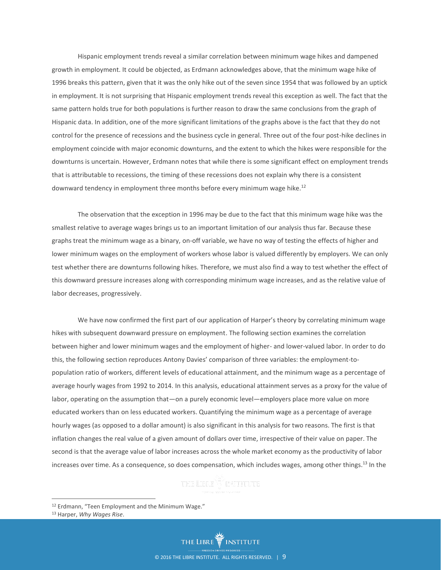Hispanic employment trends reveal a similar correlation between minimum wage hikes and dampened growth in employment. It could be objected, as Erdmann acknowledges above, that the minimum wage hike of 1996 breaks this pattern, given that it was the only hike out of the seven since 1954 that was followed by an uptick in employment. It is not surprising that Hispanic employment trends reveal this exception as well. The fact that the same pattern holds true for both populations is further reason to draw the same conclusions from the graph of Hispanic data. In addition, one of the more significant limitations of the graphs above is the fact that they do not control for the presence of recessions and the business cycle in general. Three out of the four post-hike declines in employment coincide with major economic downturns, and the extent to which the hikes were responsible for the downturns is uncertain. However, Erdmann notes that while there is some significant effect on employment trends that is attributable to recessions, the timing of these recessions does not explain why there is a consistent downward tendency in employment three months before every minimum wage hike.<sup>12</sup>

The observation that the exception in 1996 may be due to the fact that this minimum wage hike was the smallest relative to average wages brings us to an important limitation of our analysis thus far. Because these graphs treat the minimum wage as a binary, on-off variable, we have no way of testing the effects of higher and lower minimum wages on the employment of workers whose labor is valued differently by employers. We can only test whether there are downturns following hikes. Therefore, we must also find a way to test whether the effect of this downward pressure increases along with corresponding minimum wage increases, and as the relative value of labor decreases, progressively.

We have now confirmed the first part of our application of Harper's theory by correlating minimum wage hikes with subsequent downward pressure on employment. The following section examines the correlation between higher and lower minimum wages and the employment of higher- and lower-valued labor. In order to do this, the following section reproduces Antony Davies' comparison of three variables: the employment-topopulation ratio of workers, different levels of educational attainment, and the minimum wage as a percentage of average hourly wages from 1992 to 2014. In this analysis, educational attainment serves as a proxy for the value of labor, operating on the assumption that—on a purely economic level—employers place more value on more educated workers than on less educated workers. Quantifying the minimum wage as a percentage of average hourly wages (as opposed to a dollar amount) is also significant in this analysis for two reasons. The first is that inflation changes the real value of a given amount of dollars over time, irrespective of their value on paper. The second is that the average value of labor increases across the whole market economy as the productivity of labor increases over time. As a consequence, so does compensation, which includes wages, among other things.<sup>13</sup> In the

<sup>12</sup> Erdmann, "Teen Employment and the Minimum Wage."

<sup>13</sup> Harper, *Why Wages Rise*.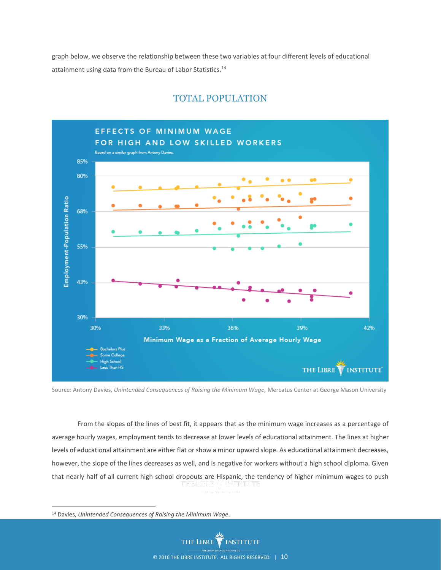graph below, we observe the relationship between these two variables at four different levels of educational attainment using data from the Bureau of Labor Statistics.<sup>14</sup>



### TOTAL POPULATION

Source: Antony Davies, *Unintended Consequences of Raising the Minimum Wage,* Mercatus Center at George Mason University

From the slopes of the lines of best fit, it appears that as the minimum wage increases as a percentage of average hourly wages, employment tends to decrease at lower levels of educational attainment. The lines at higher levels of educational attainment are either flat or show a minor upward slope. As educational attainment decreases, however, the slope of the lines decreases as well, and is negative for workers without a high school diploma. Given that nearly half of all current high school dropouts are Hispanic, the tendency of higher minimum wages to push

<sup>14</sup> Davies, *Unintended Consequences of Raising the Minimum Wage*.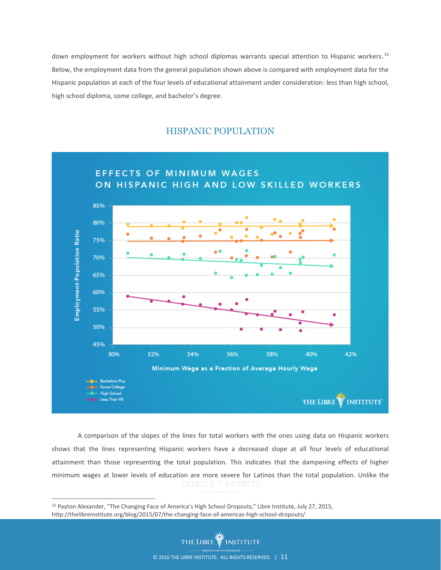down employment for workers without high school diplomas warrants special attention to Hispanic workers. 15 Below, the employment data from the general population shown above is compared with employment data for the Hispanic population at each of the four levels of educational attainment under consideration: less than high school, high school diploma, some college, and bachelor's degree.

#### HISPANIC POPULATION



A comparison of the slopes of the lines for total workers with the ones using data on Hispanic workers shows that the lines representing Hispanic workers have a decreased slope at all four levels of educational attainment than those representing the total population. This indicates that the dampening effects of higher minimum wages at lower levels of education are more severe for Latinos than the total population. Unlike the

<sup>15</sup> Payton Alexander, "The Changing Face of America's High School Dropouts," Libre Institute, July 27, 2015, http://thelibreinstitute.org/blog/2015/07/the-changing-face-of-americas-high-school-dropouts/.